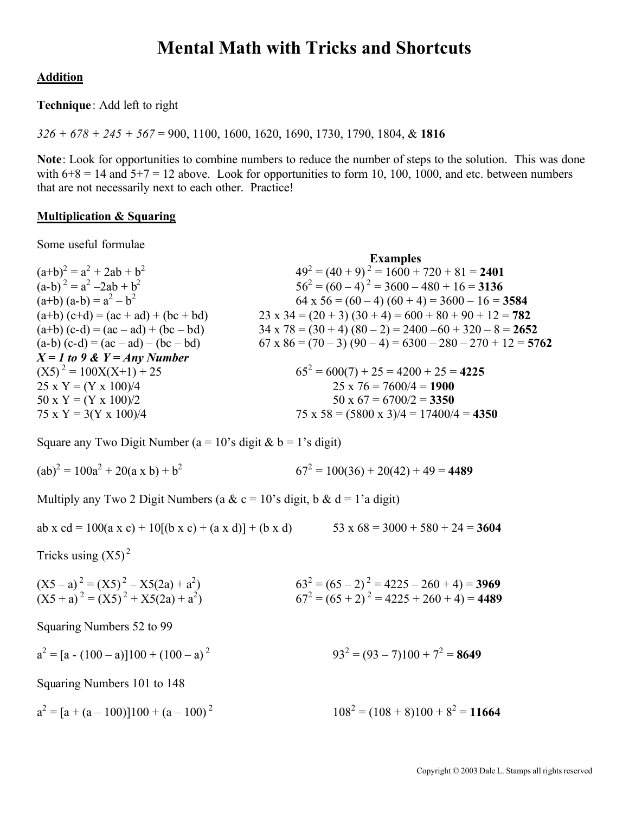## **Mental Math with Tricks and Shortcuts**

### **Addition**

**Technique**: Add left to right

*326 + 678 + 245 + 567* = 900, 1100, 1600, 1620, 1690, 1730, 1790, 1804, & **1816**

**Note**: Look for opportunities to combine numbers to reduce the number of steps to the solution. This was done with  $6+8 = 14$  and  $5+7 = 12$  above. Look for opportunities to form 10, 100, 1000, and etc. between numbers that are not necessarily next to each other. Practice!

**Examples**

### **Multiplication & Squaring**

Some useful formulae

| <b>EXAMPLES</b>                                                  |
|------------------------------------------------------------------|
| $49^{2} = (40 + 9)^{2} = 1600 + 720 + 81 = 2401$                 |
| $56^{2} = (60 - 4)^{2} = 3600 - 480 + 16 = 3136$                 |
| $64 \times 56 = (60 - 4) (60 + 4) = 3600 - 16 = 3584$            |
| 23 x 34 = (20 + 3) (30 + 4) = 600 + 80 + 90 + 12 = 782           |
| $34 \times 78 = (30 + 4) (80 - 2) = 2400 - 60 + 320 - 8 = 2652$  |
| $67 \times 86 = (70 - 3)(90 - 4) = 6300 - 280 - 270 + 12 = 5762$ |
|                                                                  |
| $65^2 = 600(7) + 25 = 4200 + 25 = 4225$                          |
| $25 \times 76 = 7600/4 = 1900$                                   |
| $50 \times 67 = 6700/2 = 3350$                                   |
| $75 \times 58 = (5800 \times 3)/4 = 17400/4 = 4350$              |
|                                                                  |

Square any Two Digit Number ( $a = 10$ 's digit &  $b = 1$ 's digit)

 $(ab)^2 = 100a^2 + 20(a \times b) + b^2$  $67^2 = 100(36) + 20(42) + 49 = 4489$ 

Multiply any Two 2 Digit Numbers (a & c = 10's digit, b & d = 1'a digit)

$$
ab \times cd = 100(a \times c) + 10[(b \times c) + (a \times d)] + (b \times d) \qquad 53 \times 68 = 3000 + 580 + 24 = 3604
$$

Tricks using  $(X5)^2$ 

| $(X5 - a)^2 = (X5)^2 - X5(2a) + a^2$ | $63^2 = (65 - 2)^2 = 4225 - 260 + 4 = 3969$ |
|--------------------------------------|---------------------------------------------|
| $(X5 + a)^2 = (X5)^2 + X5(2a) + a^2$ | $67^2 = (65 + 2)^2 = 4225 + 260 + 4 = 4489$ |

Squaring Numbers 52 to 99

 $a^2 = [a - (100 - a)]100 + (100 - a)^2$  93<sup>2</sup>  $= (93 - 7)100 + 7^2 = 8649$ 

Squaring Numbers 101 to 148

 $a^2 = [a + (a - 100)]100 + (a - 100)^2$  108<sup>2</sup>  $= (108 + 8)100 + 8^2 = 11664$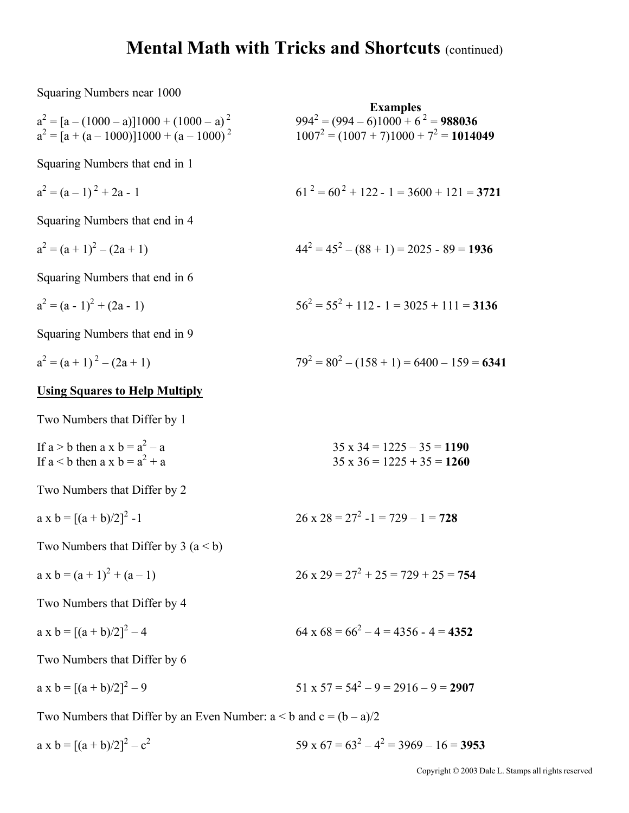Squaring Numbers near 1000

Example  
\n
$$
a^2 = [a - (1000 - a)]1000 + (1000 - a)^2
$$
  
\n $a^2 = [a + (a - 1000)]1000 + (a - 1000)^2$   
\n $a^2 = (a - 1)^2 + 2a - 1$   
\nSquaring Numbers that end in 1  
\n $a^2 = (a - 1)^2 + 2a - 1$   
\nSquaring Numbers that end in 4  
\n $a^2 = (a + 1)^2 - (2a + 1)$   
\n $a^2 = (a + 1)^2 - (2a + 1)$   
\n $a^2 = (a + 1)^2 - (2a + 1)$   
\n $a^2 = (a + 1)^2 - (2a + 1)$   
\n $a^2 = (a + 1)^2 - (2a + 1)$   
\n $a^2 = (a + 1)^2 - (2a + 1)$   
\n $a^2 = (a + 1)^2 - (2a + 1)$   
\n $a^2 = (a + 1)^2 - (2a + 1)$   
\n $a^2 = (a + 1)^2 - (2a + 1)$   
\n $a^2 = (a + 1)^2 - (2a + 1)$   
\n $a^2 = (a + 1)^2 - (2a + 1)$   
\n $a^2 = (a + 1)^2 - (2a + 1)$   
\n $a^2 = (a + 1)^2 - (2a + 1)$   
\n $a^2 = (a + 1)^2 - (2a + 1)$   
\n $a^2 = (a + 1)^2 - (2a + 1)$   
\n $a^2 = (a + 1)^2 + (a - 1)$   
\n $a^2 = a^2 - a$   
\n $a^2 = a^2 - a$   
\n $a^2 = a^2 - a$   
\n $a^2 = a^2 - a$   
\n $a^2 = a^2 - a$   
\n $a^2 = a^2 - a$   
\n $a^2 = a^2 - a$   
\n $a^2 = a^2 - a$   
\n $a^2 = a^2 - a$   
\n $a^2 = a^2 - a$   
\n $a^2 = a^2 - a$   
\n $a^2 = a$ 

a x b =  $[(a + b)/2]^2 - c^2$  $59 \times 67 = 63^2 - 4^2 = 3969 - 16 = 3953$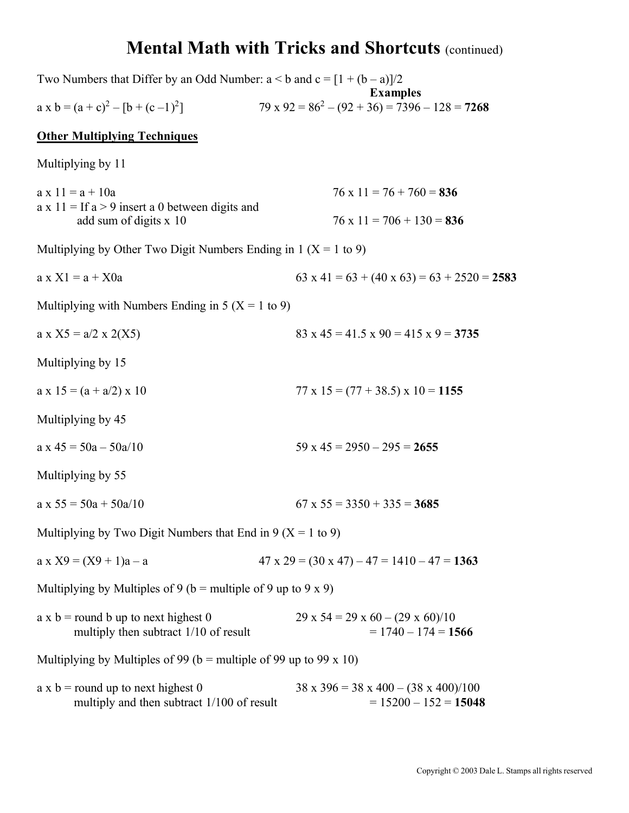| Two Numbers that Differ by an Odd Number: $a < b$ and $c = [1 + (b - a)]/2$                                   |                                                                                  |
|---------------------------------------------------------------------------------------------------------------|----------------------------------------------------------------------------------|
| $a \times b = (a + c)^2 - [b + (c - 1)^2]$                                                                    | <b>Examples</b><br>$79 \times 92 = 86^2 - (92 + 36) = 7396 - 128 = 7268$         |
| <b>Other Multiplying Techniques</b>                                                                           |                                                                                  |
| Multiplying by 11                                                                                             |                                                                                  |
| $a \times 11 = a + 10a$<br>$a \times 11 =$ If $a > 9$ insert a 0 between digits and<br>add sum of digits x 10 | $76 \times 11 = 76 + 760 = 836$<br>$76 \times 11 = 706 + 130 = 836$              |
| Multiplying by Other Two Digit Numbers Ending in $1 (X = 1 to 9)$                                             |                                                                                  |
| $a \times X1 = a + X0a$                                                                                       | 63 x 41 = 63 + (40 x 63) = 63 + 2520 = 2583                                      |
| Multiplying with Numbers Ending in $5 (X = 1$ to 9)                                                           |                                                                                  |
| $a \times X5 = a/2 \times 2(X5)$                                                                              | $83 \times 45 = 41.5 \times 90 = 415 \times 9 = 3735$                            |
| Multiplying by 15                                                                                             |                                                                                  |
| $a \times 15 = (a + a/2) \times 10$                                                                           | $77 \times 15 = (77 + 38.5) \times 10 = 1155$                                    |
| Multiplying by 45                                                                                             |                                                                                  |
| $a \times 45 = 50a - 50a/10$                                                                                  | $59 \times 45 = 2950 - 295 = 2655$                                               |
| Multiplying by 55                                                                                             |                                                                                  |
| $a \times 55 = 50a + 50a/10$                                                                                  | $67 \times 55 = 3350 + 335 = 3685$                                               |
| Multiplying by Two Digit Numbers that End in $9 (X = 1$ to 9)                                                 |                                                                                  |
| $a \times X9 = (X9 + 1)a - a$                                                                                 | $47 \times 29 = (30 \times 47) - 47 = 1410 - 47 = 1363$                          |
| Multiplying by Multiples of 9 ( $b =$ multiple of 9 up to 9 x 9)                                              |                                                                                  |
| $a \times b$ = round b up to next highest 0<br>multiply then subtract 1/10 of result                          | $29 \times 54 = 29 \times 60 - (29 \times 60)/10$<br>$= 1740 - 174 = 1566$       |
| Multiplying by Multiples of 99 ( $b =$ multiple of 99 up to 99 x 10)                                          |                                                                                  |
| $a \times b$ = round up to next highest 0<br>multiply and then subtract 1/100 of result                       | $38 \times 396 = 38 \times 400 - (38 \times 400)/100$<br>$= 15200 - 152 = 15048$ |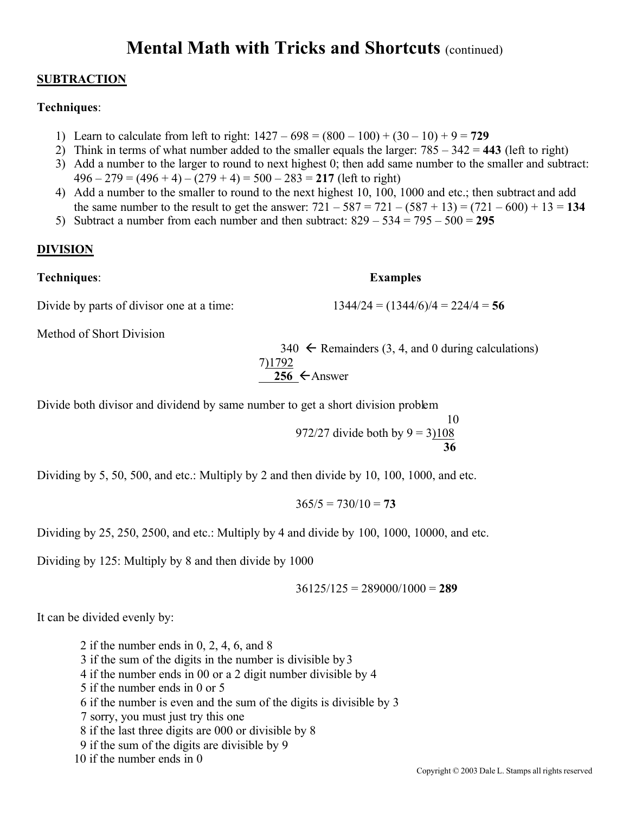### **SUBTRACTION**

### **Techniques**:

- 1) Learn to calculate from left to right:  $1427 698 = (800 100) + (30 10) + 9 = 729$
- 2) Think in terms of what number added to the smaller equals the larger: 785 342 = **443** (left to right)
- 3) Add a number to the larger to round to next highest 0; then add same number to the smaller and subtract:  $496 - 279 = (496 + 4) - (279 + 4) = 500 - 283 = 217$  (left to right)
- 4) Add a number to the smaller to round to the next highest 10, 100, 1000 and etc.; then subtract and add the same number to the result to get the answer:  $721 - 587 = 721 - (587 + 13) = (721 - 600) + 13 = 134$
- 5) Subtract a number from each number and then subtract: 829 534 = 795 500 = **295**

### **DIVISION**

### **Techniques**: **Examples**

Divide by parts of divisor one at a time:  $1344/24 = (1344/6)/4 = 224/4 = 56$ 

Method of Short Division

 $340 \leftarrow$  Remainders (3, 4, and 0 during calculations) 7)1792  $256 \leftarrow$ Answer

Divide both divisor and dividend by same number to get a short division problem

 10 972/27 divide both by  $9 = 3108$ **36**

Dividing by 5, 50, 500, and etc.: Multiply by 2 and then divide by 10, 100, 1000, and etc.

 $365/5 = 730/10 = 73$ 

Dividing by 25, 250, 2500, and etc.: Multiply by 4 and divide by 100, 1000, 10000, and etc.

Dividing by 125: Multiply by 8 and then divide by 1000

36125/125 = 289000/1000 = **289**

It can be divided evenly by:

- 2 if the number ends in 0, 2, 4, 6, and 8
- 3 if the sum of the digits in the number is divisible by 3
- 4 if the number ends in 00 or a 2 digit number divisible by 4
- 5 if the number ends in 0 or 5
- 6 if the number is even and the sum of the digits is divisible by 3
- 7 sorry, you must just try this one
- 8 if the last three digits are 000 or divisible by 8
- 9 if the sum of the digits are divisible by 9
- 10 if the number ends in 0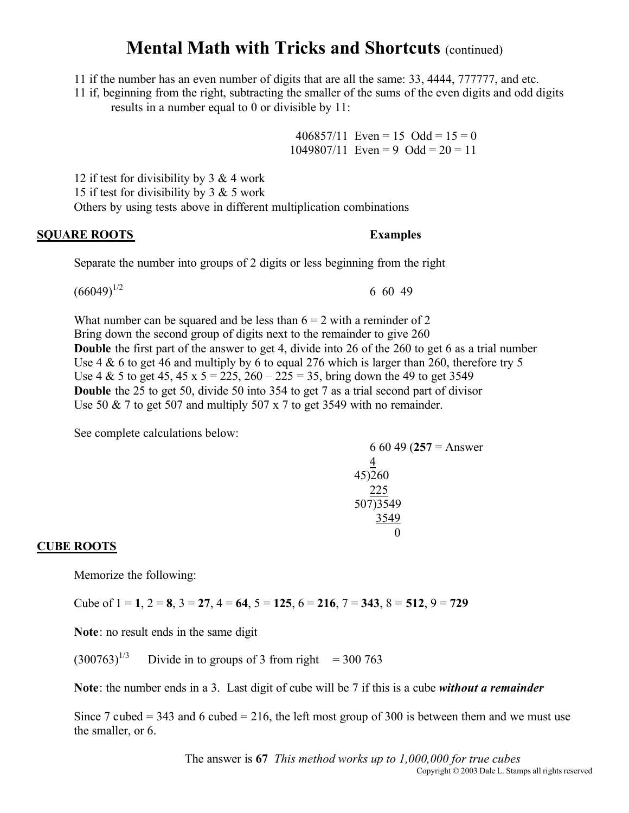11 if the number has an even number of digits that are all the same: 33, 4444, 777777, and etc.

11 if, beginning from the right, subtracting the smaller of the sums of the even digits and odd digits results in a number equal to 0 or divisible by 11:

> 406857/11 Even = 15 Odd =  $15 = 0$  $1049807/11$  Even = 9 Odd =  $20 = 11$

12 if test for divisibility by 3 & 4 work 15 if test for divisibility by  $3 & 5$  work Others by using tests above in different multiplication combinations

### **SQUARE ROOTS Examples**

Separate the number into groups of 2 digits or less beginning from the right

 $(66049)^{1/2}$  6 60 49

What number can be squared and be less than  $6 = 2$  with a reminder of 2 Bring down the second group of digits next to the remainder to give 260 **Double** the first part of the answer to get 4, divide into 26 of the 260 to get 6 as a trial number Use  $4 \& 6$  to get 46 and multiply by 6 to equal 276 which is larger than 260, therefore try 5 Use 4 & 5 to get 45, 45 x  $5 = 225$ ,  $260 - 225 = 35$ , bring down the 49 to get 3549 **Double** the 25 to get 50, divide 50 into 354 to get 7 as a trial second part of divisor Use 50  $\&$  7 to get 507 and multiply 507 x 7 to get 3549 with no remainder.

See complete calculations below:

### 6 60 49 (**257** = Answer 4 45)260 225 507)3549 3549  $\Omega$

### **CUBE ROOTS**

Memorize the following:

Cube of 1 = **1**, 2 = **8**, 3 = **27**, 4 = **64**, 5 = **125**, 6 = **216**, 7 = **343**, 8 = **512**, 9 = **729**

**Note**: no result ends in the same digit

 $(300763)^{1/3}$  Divide in to groups of 3 from right = 300 763

**Note**: the number ends in a 3. Last digit of cube will be 7 if this is a cube *without a remainder*

Since 7 cubed  $= 343$  and 6 cubed  $= 216$ , the left most group of 300 is between them and we must use the smaller, or 6.